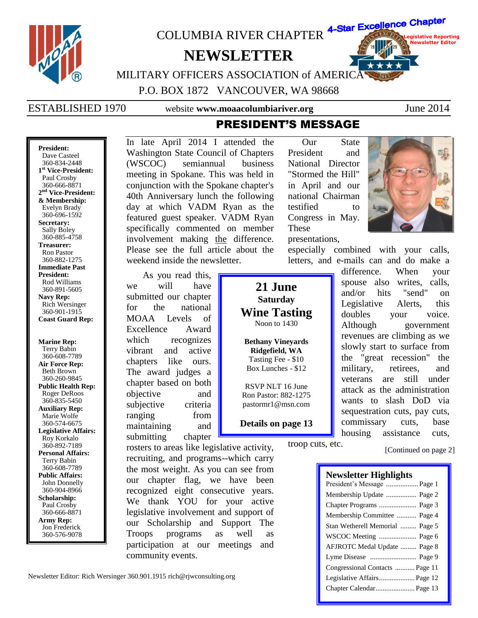

360-834-2448 **1 st Vice-President:** Paul Crosby 360-666-8871 **2 nd Vice-President: & Membership:** Evelyn Brady 360-696-1592 **Secretary:** Sally Boley 360-885-4758 **Treasurer:** Ron Pastor 360-882-1275 **Immediate Past President:** Rod Williams 360-891-5605 **Navy Rep:** Rich Wersinger 360-901-1915 **Coast Guard Rep:**

**Marine Rep:** Terry Babin 360-608-7789 **Air Force Rep:** Beth Brown 360-260-9845 **Public Health Rep:** Roger DeRoos 360-835-5450 **Auxiliary Rep:** Marie Wolfe 360-574-6675 **Legislative Affairs:** Roy Korkalo 360-892-7189 **Personal Affairs:** Terry Babin 360-608-7789 **Public Affairs:** John Donnelly 360-904-8966 **Scholarship:** Paul Crosby 360-666-8871 **Army Rep:** Jon Frederick 360-576-9078

(WSCOC) semiannual business meeting in Spokane. This was held in conjunction with the Spokane chapter's 40th Anniversary lunch the following day at which VADM Ryan as the featured guest speaker. VADM Ryan specifically commented on member involvement making the difference. Please see the full article about the weekend inside the newsletter.

As you read this, we will have submitted our chapter for the national MOAA Levels of Excellence Award which recognizes vibrant and active chapters like ours. The award judges a chapter based on both objective and subjective criteria ranging from maintaining and submitting chapter

**21 June Saturday Wine Tasting** Noon to 1430

**Bethany Vineyards Ridgefield, WA** Tasting Fee - \$10 Box Lunches - \$12

RSVP NLT 16 June Ron Pastor: 882-1275 pastormr1@msn.com

**Details on page 13**

troop cuts, etc.

rosters to areas like legislative activity, recruiting, and programs--which carry the most weight. As you can see from our chapter flag, we have been recognized eight consecutive years. We thank YOU for your active legislative involvement and support of our Scholarship and Support The Troops programs as well as participation at our meetings and community events.

Newsletter Editor: Rich Wersinger 360.901.1915 rich@rjwconsulting.org

National Director "Stormed the Hill" in April and our national Chairman testified to Congress in May. These

presentations, especially combined with your calls, letters, and e-mails can and do make a

> difference. When your spouse also writes, calls, and/or hits "send" on Legislative Alerts, this doubles your voice. Although government revenues are climbing as we slowly start to surface from the "great recession" the military, retirees, and veterans are still under attack as the administration wants to slash DoD via sequestration cuts, pay cuts, commissary cuts, base housing assistance cuts,

> > [Continued on page 2]

### **Newsletter Highlights**

| President's Message  Page 1     |
|---------------------------------|
| Membership Update  Page 2       |
| Chapter Programs  Page 3        |
| Membership Committee  Page 4    |
| Stan Wetherell Memorial  Page 5 |
| WSCOC Meeting  Page 6           |
| AFJROTC Medal Update  Page 8    |
|                                 |
| Congressional Contacts  Page 11 |
| Legislative Affairs Page 12     |
| Chapter Calendar Page 13        |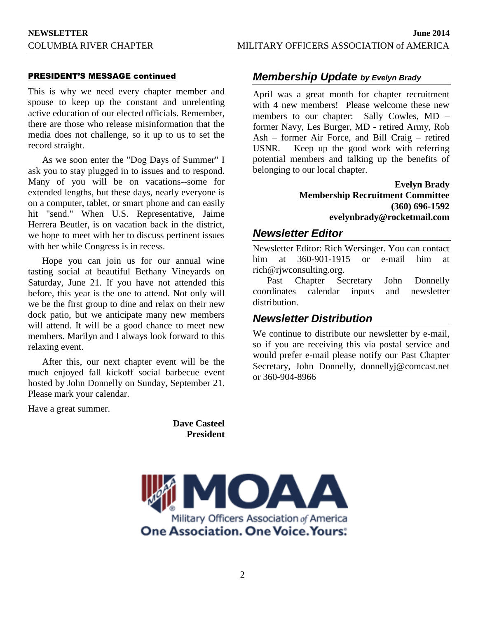### PRESIDENT'S MESSAGE continued

This is why we need every chapter member and spouse to keep up the constant and unrelenting active education of our elected officials. Remember, there are those who release misinformation that the media does not challenge, so it up to us to set the record straight.

As we soon enter the "Dog Days of Summer" I ask you to stay plugged in to issues and to respond. Many of you will be on vacations--some for extended lengths, but these days, nearly everyone is on a computer, tablet, or smart phone and can easily hit "send." When U.S. Representative, Jaime Herrera Beutler, is on vacation back in the district, we hope to meet with her to discuss pertinent issues with her while Congress is in recess.

Hope you can join us for our annual wine tasting social at beautiful Bethany Vineyards on Saturday, June 21. If you have not attended this before, this year is the one to attend. Not only will we be the first group to dine and relax on their new dock patio, but we anticipate many new members will attend. It will be a good chance to meet new members. Marilyn and I always look forward to this relaxing event.

After this, our next chapter event will be the much enjoyed fall kickoff social barbecue event hosted by John Donnelly on Sunday, September 21. Please mark your calendar.

Have a great summer.

**Dave Casteel President**



## *Membership Update by Evelyn Brady*

April was a great month for chapter recruitment with 4 new members! Please welcome these new members to our chapter: Sally Cowles, MD – former Navy, Les Burger, MD - retired Army, Rob Ash – former Air Force, and Bill Craig – retired USNR. Keep up the good work with referring potential members and talking up the benefits of belonging to our local chapter.

> **Evelyn Brady Membership Recruitment Committee (360) 696-1592 evelynbrady@rocketmail.com**

## *Newsletter Editor*

Newsletter Editor: Rich Wersinger. You can contact him at 360-901-1915 or e-mail him at rich@rjwconsulting.org.

Past Chapter Secretary John Donnelly coordinates calendar inputs and newsletter distribution.

## *Newsletter Distribution*

We continue to distribute our newsletter by e-mail, so if you are receiving this via postal service and would prefer e-mail please notify our Past Chapter Secretary, John Donnelly, donnellyj@comcast.net or 360-904-8966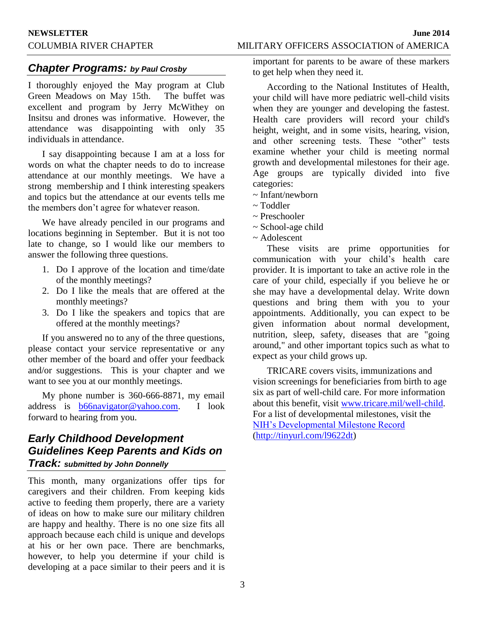## COLUMBIA RIVER CHAPTER MILITARY OFFICERS ASSOCIATION of AMERICA

## *Chapter Programs: by Paul Crosby*

I thoroughly enjoyed the May program at Club Green Meadows on May 15th. The buffet was excellent and program by Jerry McWithey on Insitsu and drones was informative. However, the attendance was disappointing with only 35 individuals in attendance.

I say disappointing because I am at a loss for words on what the chapter needs to do to increase attendance at our monthly meetings. We have a strong membership and I think interesting speakers and topics but the attendance at our events tells me the members don't agree for whatever reason.

We have already penciled in our programs and locations beginning in September. But it is not too late to change, so I would like our members to answer the following three questions.

- 1. Do I approve of the location and time/date of the monthly meetings?
- 2. Do I like the meals that are offered at the monthly meetings?
- 3. Do I like the speakers and topics that are offered at the monthly meetings?

If you answered no to any of the three questions, please contact your service representative or any other member of the board and offer your feedback and/or suggestions. This is your chapter and we want to see you at our monthly meetings.

My phone number is 360-666-8871, my email address is [b66navigator@yahoo.com.](mailto:b66navigator@yahoo.com) I look forward to hearing from you.

## *Early Childhood Development Guidelines Keep Parents and Kids on Track: submitted by John Donnelly*

This month, many organizations offer tips for caregivers and their children. From keeping kids active to feeding them properly, there are a variety of ideas on how to make sure our military children are happy and healthy. There is no one size fits all approach because each child is unique and develops at his or her own pace. There are benchmarks, however, to help you determine if your child is developing at a pace similar to their peers and it is important for parents to be aware of these markers to get help when they need it.

According to the National Institutes of Health, your child will have more pediatric well-child visits when they are younger and developing the fastest. Health care providers will record your child's height, weight, and in some visits, hearing, vision, and other screening tests. These "other" tests examine whether your child is meeting normal growth and developmental milestones for their age. Age groups are typically divided into five categories:

- $\sim$  Infant/newborn
- ~ Toddler
- ~ Preschooler
- ~ School-age child
- ~ Adolescent

These visits are prime opportunities for communication with your child's health care provider. It is important to take an active role in the care of your child, especially if you believe he or she may have a developmental delay. Write down questions and bring them with you to your appointments. Additionally, you can expect to be given information about normal development, nutrition, sleep, safety, diseases that are "going around," and other important topics such as what to expect as your child grows up.

TRICARE covers visits, immunizations and vision screenings for beneficiaries from birth to age six as part of well-child care. For more information about this benefit, visit [www.tricare.mil/well-child.](http://www.tricare.mil/well-child) For a list of developmental milestones, visit the [NIH's Developmental Milestone Record](http://tinyurl.com/l9622dt) [\(http://tinyurl.com/l9622dt\)](http://tinyurl.com/l9622dt)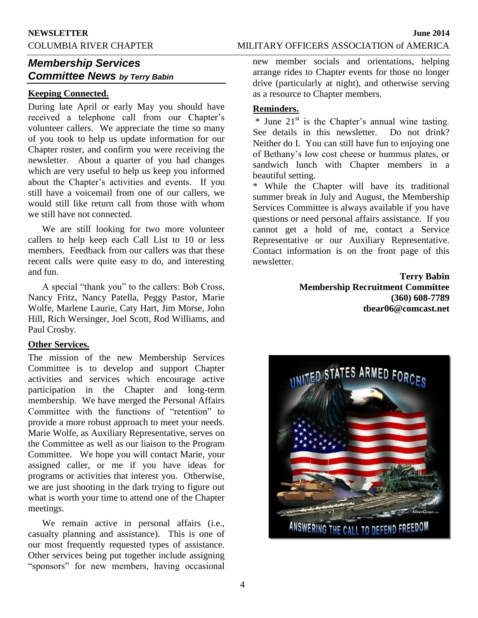## COLUMBIA RIVER CHAPTER MILITARY OFFICERS ASSOCIATION of AMERICA

## *Membership Services Committee News by Terry Babin*

## **Keeping Connected.**

During late April or early May you should have received a telephone call from our Chapter's volunteer callers. We appreciate the time so many of you took to help us update information for our Chapter roster, and confirm you were receiving the newsletter. About a quarter of you had changes which are very useful to help us keep you informed about the Chapter's activities and events. If you still have a voicemail from one of our callers, we would still like return call from those with whom we still have not connected.

We are still looking for two more volunteer callers to help keep each Call List to 10 or less members. Feedback from our callers was that these recent calls were quite easy to do, and interesting and fun.

A special "thank you" to the callers: Bob Cross, Nancy Fritz, Nancy Patella, Peggy Pastor, Marie Wolfe, Marlene Laurie, Caty Hart, Jim Morse, John Hill, Rich Wersinger, Joel Scott, Rod Williams, and Paul Crosby.

### **Other Services.**

The mission of the new Membership Services Committee is to develop and support Chapter activities and services which encourage active participation in the Chapter and long-term membership. We have merged the Personal Affairs Committee with the functions of "retention" to provide a more robust approach to meet your needs. Marie Wolfe, as Auxiliary Representative, serves on the Committee as well as our liaison to the Program Committee. We hope you will contact Marie, your assigned caller, or me if you have ideas for programs or activities that interest you. Otherwise, we are just shooting in the dark trying to figure out what is worth your time to attend one of the Chapter meetings.

We remain active in personal affairs (i.e., casualty planning and assistance). This is one of our most frequently requested types of assistance. Other services being put together include assigning "sponsors" for new members, having occasional new member socials and orientations, helping arrange rides to Chapter events for those no longer drive (particularly at night), and otherwise serving as a resource to Chapter members.

## **Reminders.**

 $*$  June 21<sup>st</sup> is the Chapter's annual wine tasting. See details in this newsletter. Do not drink? Neither do I. You can still have fun to enjoying one of Bethany's low cost cheese or hummus plates, or sandwich lunch with Chapter members in a beautiful setting.

\* While the Chapter will have its traditional summer break in July and August, the Membership Services Committee is always available if you have questions or need personal affairs assistance. If you cannot get a hold of me, contact a Service Representative or our Auxiliary Representative. Contact information is on the front page of this newsletter.

> **Terry Babin Membership Recruitment Committee (360) 608-7789 tbear06@comcast.net**

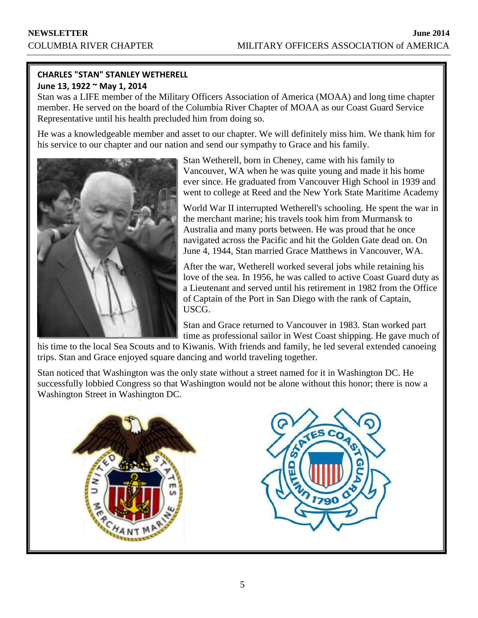## **CHARLES "STAN" STANLEY WETHERELL June 13, 1922 ~ May 1, 2014**

Stan was a LIFE member of the Military Officers Association of America (MOAA) and long time chapter member. He served on the board of the Columbia River Chapter of MOAA as our Coast Guard Service Representative until his health precluded him from doing so.

He was a knowledgeable member and asset to our chapter. We will definitely miss him. We thank him for his service to our chapter and our nation and send our sympathy to Grace and his family.



Stan Wetherell, born in Cheney, came with his family to Vancouver, WA when he was quite young and made it his home ever since. He graduated from Vancouver High School in 1939 and went to college at Reed and the New York State Maritime Academy

World War II interrupted Wetherell's schooling. He spent the war in the merchant marine; his travels took him from Murmansk to Australia and many ports between. He was proud that he once navigated across the Pacific and hit the Golden Gate dead on. On June 4, 1944, Stan married Grace Matthews in Vancouver, WA.

After the war, Wetherell worked several jobs while retaining his love of the sea. In 1956, he was called to active Coast Guard duty as a Lieutenant and served until his retirement in 1982 from the Office of Captain of the Port in San Diego with the rank of Captain, USCG.

Stan and Grace returned to Vancouver in 1983. Stan worked part time as professional sailor in West Coast shipping. He gave much of

his time to the local Sea Scouts and to Kiwanis. With friends and family, he led several extended canoeing trips. Stan and Grace enjoyed square dancing and world traveling together.

Stan noticed that Washington was the only state without a street named for it in Washington DC. He successfully lobbied Congress so that Washington would not be alone without this honor; there is now a Washington Street in Washington DC.



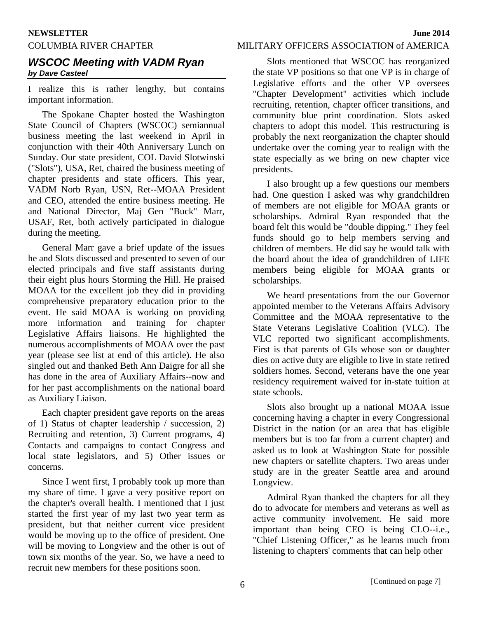## COLUMBIA RIVER CHAPTER MILITARY OFFICERS ASSOCIATION of AMERICA

## *WSCOC Meeting with VADM Ryan by Dave Casteel*

I realize this is rather lengthy, but contains important information.

The Spokane Chapter hosted the Washington State Council of Chapters (WSCOC) semiannual business meeting the last weekend in April in conjunction with their 40th Anniversary Lunch on Sunday. Our state president, COL David Slotwinski ("Slots"), USA, Ret, chaired the business meeting of chapter presidents and state officers. This year, VADM Norb Ryan, USN, Ret--MOAA President and CEO, attended the entire business meeting. He and National Director, Maj Gen "Buck" Marr, USAF, Ret, both actively participated in dialogue during the meeting.

General Marr gave a brief update of the issues he and Slots discussed and presented to seven of our elected principals and five staff assistants during their eight plus hours Storming the Hill. He praised MOAA for the excellent job they did in providing comprehensive preparatory education prior to the event. He said MOAA is working on providing more information and training for chapter Legislative Affairs liaisons. He highlighted the numerous accomplishments of MOAA over the past year (please see list at end of this article). He also singled out and thanked Beth Ann Daigre for all she has done in the area of Auxiliary Affairs--now and for her past accomplishments on the national board as Auxiliary Liaison.

Each chapter president gave reports on the areas of 1) Status of chapter leadership / succession, 2) Recruiting and retention, 3) Current programs, 4) Contacts and campaigns to contact Congress and local state legislators, and 5) Other issues or concerns.

Since I went first, I probably took up more than my share of time. I gave a very positive report on the chapter's overall health. I mentioned that I just started the first year of my last two year term as president, but that neither current vice president would be moving up to the office of president. One will be moving to Longview and the other is out of town six months of the year. So, we have a need to recruit new members for these positions soon.

Slots mentioned that WSCOC has reorganized the state VP positions so that one VP is in charge of Legislative efforts and the other VP oversees "Chapter Development" activities which include recruiting, retention, chapter officer transitions, and community blue print coordination. Slots asked chapters to adopt this model. This restructuring is probably the next reorganization the chapter should undertake over the coming year to realign with the state especially as we bring on new chapter vice presidents.

I also brought up a few questions our members had. One question I asked was why grandchildren of members are not eligible for MOAA grants or scholarships. Admiral Ryan responded that the board felt this would be "double dipping." They feel funds should go to help members serving and children of members. He did say he would talk with the board about the idea of grandchildren of LIFE members being eligible for MOAA grants or scholarships.

We heard presentations from the our Governor appointed member to the Veterans Affairs Advisory Committee and the MOAA representative to the State Veterans Legislative Coalition (VLC). The VLC reported two significant accomplishments. First is that parents of GIs whose son or daughter dies on active duty are eligible to live in state retired soldiers homes. Second, veterans have the one year residency requirement waived for in-state tuition at state schools.

Slots also brought up a national MOAA issue concerning having a chapter in every Congressional District in the nation (or an area that has eligible members but is too far from a current chapter) and asked us to look at Washington State for possible new chapters or satellite chapters. Two areas under study are in the greater Seattle area and around Longview.

Admiral Ryan thanked the chapters for all they do to advocate for members and veterans as well as active community involvement. He said more important than being CEO is being CLO--i.e., "Chief Listening Officer," as he learns much from listening to chapters' comments that can help other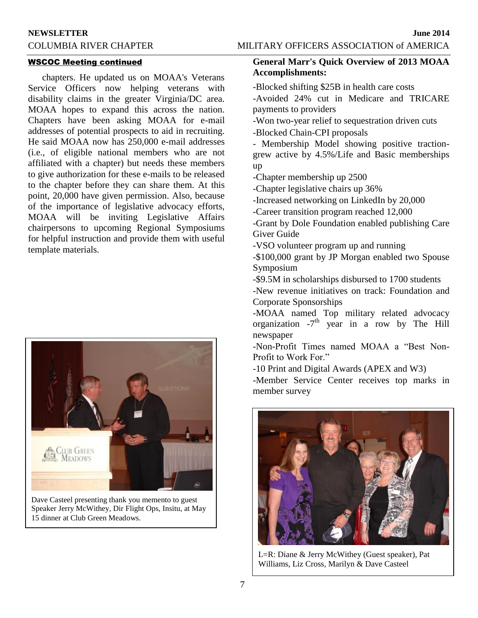## COLUMBIA RIVER CHAPTER MILITARY OFFICERS ASSOCIATION of AMERICA

### WSCOC Meeting continued

chapters. He updated us on MOAA's Veterans Service Officers now helping veterans with disability claims in the greater Virginia/DC area. MOAA hopes to expand this across the nation. Chapters have been asking MOAA for e-mail addresses of potential prospects to aid in recruiting. He said MOAA now has 250,000 e-mail addresses (i.e., of eligible national members who are not affiliated with a chapter) but needs these members to give authorization for these e-mails to be released to the chapter before they can share them. At this point, 20,000 have given permission. Also, because of the importance of legislative advocacy efforts, MOAA will be inviting Legislative Affairs chairpersons to upcoming Regional Symposiums for helpful instruction and provide them with useful template materials.



Dave Casteel presenting thank you memento to guest Speaker Jerry McWithey, Dir Flight Ops, Insitu, at May 15 dinner at Club Green Meadows.

## **General Marr's Quick Overview of 2013 MOAA Accomplishments:**

-Blocked shifting \$25B in health care costs

-Avoided 24% cut in Medicare and TRICARE payments to providers

-Won two-year relief to sequestration driven cuts

-Blocked Chain-CPI proposals

- Membership Model showing positive tractiongrew active by 4.5%/Life and Basic memberships up

-Chapter membership up 2500

-Chapter legislative chairs up 36%

-Increased networking on LinkedIn by 20,000

-Career transition program reached 12,000

-Grant by Dole Foundation enabled publishing Care Giver Guide

-VSO volunteer program up and running

-\$100,000 grant by JP Morgan enabled two Spouse Symposium

-\$9.5M in scholarships disbursed to 1700 students

-New revenue initiatives on track: Foundation and Corporate Sponsorships

-MOAA named Top military related advocacy organization  $-7<sup>th</sup>$  year in a row by The Hill newspaper

-Non-Profit Times named MOAA a "Best Non-Profit to Work For."

-10 Print and Digital Awards (APEX and W3)

-Member Service Center receives top marks in member survey



L=R: Diane & Jerry McWithey (Guest speaker), Pat Williams, Liz Cross, Marilyn & Dave Casteel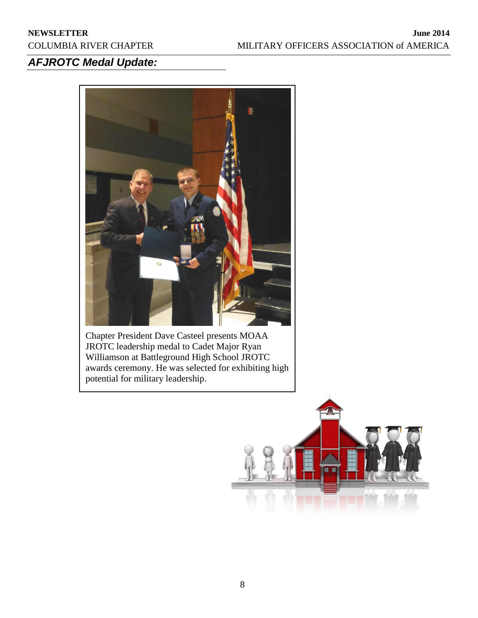## *AFJROTC Medal Update:*



Chapter President Dave Casteel presents MOAA JROTC leadership medal to Cadet Major Ryan Williamson at Battleground High School JROTC awards ceremony. He was selected for exhibiting high potential for military leadership.

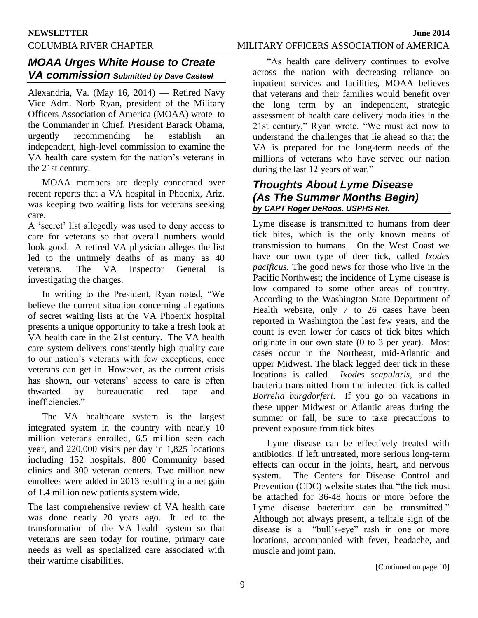## COLUMBIA RIVER CHAPTER MILITARY OFFICERS ASSOCIATION of AMERICA

## *MOAA Urges White House to Create VA commission Submitted by Dave Casteel*

Alexandria, Va. (May 16, 2014) — Retired Navy Vice Adm. Norb Ryan, president of the Military Officers Association of America (MOAA) wrote to the Commander in Chief, President Barack Obama, urgently recommending he establish an independent, high-level commission to examine the VA health care system for the nation's veterans in the 21st century.

MOAA members are deeply concerned over recent reports that a VA hospital in Phoenix, Ariz. was keeping two waiting lists for veterans seeking care.

A 'secret' list allegedly was used to deny access to care for veterans so that overall numbers would look good. A retired VA physician alleges the list led to the untimely deaths of as many as 40 veterans. The VA Inspector General is investigating the charges.

In writing to the President, Ryan noted, "We believe the current situation concerning allegations of secret waiting lists at the VA Phoenix hospital presents a unique opportunity to take a fresh look at VA health care in the 21st century. The VA health care system delivers consistently high quality care to our nation's veterans with few exceptions, once veterans can get in. However, as the current crisis has shown, our veterans' access to care is often thwarted by bureaucratic red tape and inefficiencies."

The VA healthcare system is the largest integrated system in the country with nearly 10 million veterans enrolled, 6.5 million seen each year, and 220,000 visits per day in 1,825 locations including 152 hospitals, 800 Community based clinics and 300 veteran centers. Two million new enrollees were added in 2013 resulting in a net gain of 1.4 million new patients system wide.

The last comprehensive review of VA health care was done nearly 20 years ago. It led to the transformation of the VA health system so that veterans are seen today for routine, primary care needs as well as specialized care associated with their wartime disabilities.

"As health care delivery continues to evolve across the nation with decreasing reliance on inpatient services and facilities, MOAA believes that veterans and their families would benefit over the long term by an independent, strategic assessment of health care delivery modalities in the 21st century," Ryan wrote. "We must act now to understand the challenges that lie ahead so that the VA is prepared for the long-term needs of the millions of veterans who have served our nation during the last 12 years of war."

## *Thoughts About Lyme Disease (As The Summer Months Begin) by CAPT Roger DeRoos. USPHS Ret.*

Lyme disease is transmitted to humans from deer tick bites, which is the only known means of transmission to humans. On the West Coast we have our own type of deer tick, called *Ixodes pacificus.* The good news for those who live in the Pacific Northwest; the incidence of Lyme disease is low compared to some other areas of country. According to the Washington State Department of Health website, only 7 to 26 cases have been reported in Washington the last few years, and the count is even lower for cases of tick bites which originate in our own state (0 to 3 per year). Most cases occur in the Northeast, mid-Atlantic and upper Midwest. The black legged deer tick in these locations is called *Ixodes scapularis,* and the bacteria transmitted from the infected tick is called *Borrelia burgdorferi*. If you go on vacations in these upper Midwest or Atlantic areas during the summer or fall, be sure to take precautions to prevent exposure from tick bites.

Lyme disease can be effectively treated with antibiotics. If left untreated, more serious long-term effects can occur in the joints, heart, and nervous system. The Centers for Disease Control and Prevention (CDC) website states that "the tick must be attached for 36-48 hours or more before the Lyme disease bacterium can be transmitted." Although not always present, a telltale sign of the disease is a "bull's-eye" rash in one or more locations, accompanied with fever, headache, and muscle and joint pain.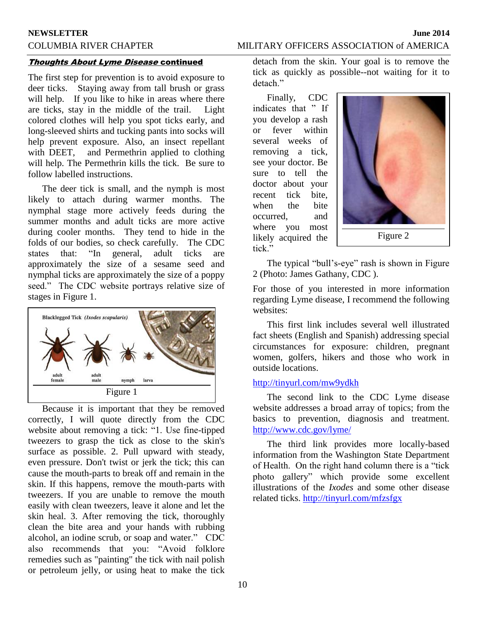## COLUMBIA RIVER CHAPTER MILITARY OFFICERS ASSOCIATION of AMERICA

### **Thoughts About Lyme Disease continued**

The first step for prevention is to avoid exposure to deer ticks. Staying away from tall brush or grass will help. If you like to hike in areas where there are ticks, stay in the middle of the trail. Light colored clothes will help you spot ticks early, and long-sleeved shirts and tucking pants into socks will help prevent exposure. Also, an insect repellant with DEET, and Permethrin applied to clothing will help. The Permethrin kills the tick. Be sure to follow labelled instructions.

The deer tick is small, and the nymph is most likely to attach during warmer months. The nymphal stage more actively feeds during the summer months and adult ticks are more active during cooler months. They tend to hide in the folds of our bodies, so check carefully. The CDC states that: "In general, adult ticks are approximately the size of a sesame seed and nymphal ticks are approximately the size of a poppy seed." The CDC website portrays relative size of stages in Figure 1.



Because it is important that they be removed correctly, I will quote directly from the CDC website about removing a tick: "1. Use fine-tipped tweezers to grasp the tick as close to the skin's surface as possible. 2. Pull upward with steady, even pressure. Don't twist or jerk the tick; this can cause the mouth-parts to break off and remain in the skin. If this happens, remove the mouth-parts with tweezers. If you are unable to remove the mouth easily with clean tweezers, leave it alone and let the skin heal. 3. After removing the tick, thoroughly clean the bite area and your hands with rubbing alcohol, an iodine scrub, or soap and water." CDC also recommends that you: "Avoid folklore remedies such as "painting" the tick with nail polish or petroleum jelly, or using heat to make the tick

detach from the skin. Your goal is to remove the tick as quickly as possible--not waiting for it to detach"

Finally, CDC indicates that " If you develop a rash or fever within several weeks of removing a tick, see your doctor. Be sure to tell the doctor about your recent tick bite, when the bite occurred, and where you most likely acquired the tick."



Figure 2

The typical "bull's-eye" rash is shown in Figure 2 (Photo: James Gathany, CDC ).

For those of you interested in more information regarding Lyme disease, I recommend the following websites:

This first link includes several well illustrated fact sheets (English and Spanish) addressing special circumstances for exposure: children, pregnant women, golfers, hikers and those who work in outside locations.

### <http://tinyurl.com/mw9ydkh>

The second link to the CDC Lyme disease website addresses a broad array of topics; from the basics to prevention, diagnosis and treatment. <http://www.cdc.gov/lyme/>

The third link provides more locally-based information from the Washington State Department of Health. On the right hand column there is a "tick photo gallery" which provide some excellent illustrations of the *Ixodes* and some other disease related ticks.<http://tinyurl.com/mfzsfgx>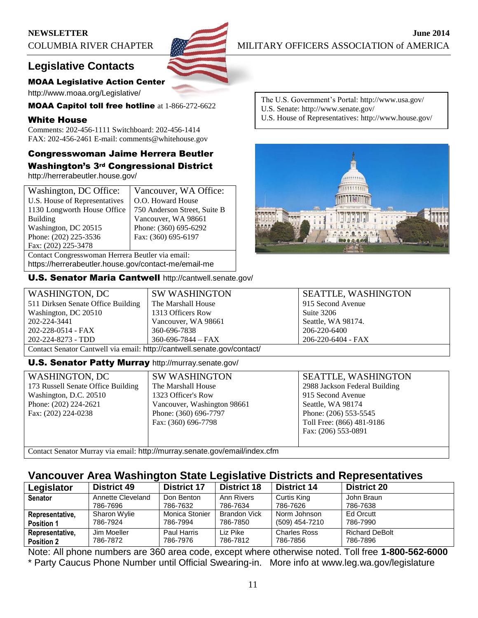## **Legislative Contacts**

## MOAA Legislative Action Center

http://www.moaa.org/Legislative/

MOAA Capitol toll free hotline at 1-866-272-6622

## White House

Comments: 202-456-1111 Switchboard: 202-456-1414 FAX: 202-456-2461 E-mail: comments@whitehouse.gov

## Congresswoman Jaime Herrera Beutler Washington's 3rd Congressional District

http://herrerabeutler.house.gov/

| Washington, DC Office:                               | Vancouver, WA Office:        |  |  |
|------------------------------------------------------|------------------------------|--|--|
| U.S. House of Representatives                        | O.O. Howard House            |  |  |
| 1130 Longworth House Office                          | 750 Anderson Street, Suite B |  |  |
| <b>Building</b>                                      | Vancouver, WA 98661          |  |  |
| Washington, DC 20515                                 | Phone: (360) 695-6292        |  |  |
| Phone: (202) 225-3536                                | Fax: (360) 695-6197          |  |  |
| Fax: (202) 225-3478                                  |                              |  |  |
| Contact Congresswoman Herrera Beutler via email:     |                              |  |  |
| https://herrerabeutler.house.gov/contact-me/email-me |                              |  |  |

U.S. Senator Maria Cantwell http://cantwell.senate.gov/

COLUMBIA RIVER CHAPTER MILITARY OFFICERS ASSOCIATION of AMERICA

The U.S. Government's Portal: http://www.usa.gov/ U.S. Senate: http://www.senate.gov/

U.S. House of Representatives: http://www.house.gov/



| WASHINGTON, DC                                                          | <b>SW WASHINGTON</b>     | <b>SEATTLE, WASHINGTON</b> |  |
|-------------------------------------------------------------------------|--------------------------|----------------------------|--|
| 511 Dirksen Senate Office Building                                      | The Marshall House       | 915 Second Avenue          |  |
| Washington, DC 20510                                                    | 1313 Officers Row        | Suite 3206                 |  |
| 202-224-3441                                                            | Vancouver, WA 98661      | Seattle, WA 98174.         |  |
| 202-228-0514 - FAX                                                      | 360-696-7838             | 206-220-6400               |  |
| 202-224-8273 - TDD                                                      | $360 - 696 - 7844 - FAX$ | 206-220-6404 - FAX         |  |
| Contact Senator Cantwell via email: http://cantwell.senate.gov/contact/ |                          |                            |  |

## U.S. Senator Patty Murray http://murray.senate.gov/

| <b>WASHINGTON, DC</b>                                                       | <b>SW WASHINGTON</b>        |
|-----------------------------------------------------------------------------|-----------------------------|
| 173 Russell Senate Office Building                                          | The Marshall House          |
| Washington, D.C. 20510                                                      | 1323 Officer's Row          |
| Phone: (202) 224-2621                                                       | Vancouver, Washington 98661 |
| Fax: (202) 224-0238                                                         | Phone: (360) 696-7797       |
|                                                                             | Fax: (360) 696-7798         |
|                                                                             |                             |
|                                                                             |                             |
| Contact Constant Monumentary annual bitmellime issues concete goulemnilling |                             |

SEATTLE, WASHINGTON 2988 Jackson Federal Building 915 Second Avenue Seattle, WA 98174 Phone: (206) 553-5545 Toll Free: (866) 481-9186 Fax: (206) 553-0891

Contact Senator Murray via email: http://murray.senate.gov/email/index.cfm

## **Vancouver Area Washington State Legislative Districts and Representatives**

| Legislator        | <b>District 49</b> | <b>District 17</b> | <b>District 18</b> | <b>District 14</b>  | <b>District 20</b>    |
|-------------------|--------------------|--------------------|--------------------|---------------------|-----------------------|
| <b>Senator</b>    | Annette Cleveland  | Don Benton         | Ann Rivers         | Curtis King         | John Braun            |
|                   | 786-7696           | 786-7632           | 786-7634           | 786-7626            | 786-7638              |
| Representative,   | Sharon Wylie       | Monica Stonier     | Brandon Vick       | Norm Johnson        | Ed Orcutt             |
| <b>Position 1</b> | 786-7924           | 786-7994           | 786-7850           | (509) 454-7210      | 786-7990              |
| Representative,   | Jim Moeller        | Paul Harris        | Liz Pike           | <b>Charles Ross</b> | <b>Richard DeBolt</b> |
| <b>Position 2</b> | 786-7872           | 786-7976           | 786-7812           | 786-7856            | 786-7896              |

Note: All phone numbers are 360 area code, except where otherwise noted. Toll free **1-800-562-6000** \* Party Caucus Phone Number until Official Swearing-in. More info at www.leg.wa.gov/legislature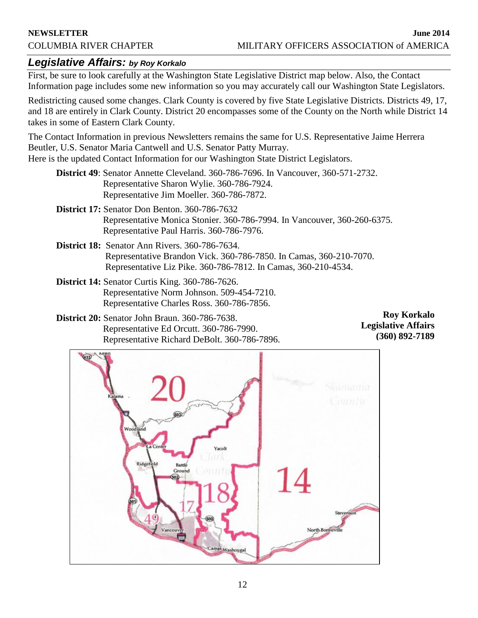## *Legislative Affairs: by Roy Korkalo*

First, be sure to look carefully at the Washington State Legislative District map below. Also, the Contact Information page includes some new information so you may accurately call our Washington State Legislators.

Redistricting caused some changes. Clark County is covered by five State Legislative Districts. Districts 49, 17, and 18 are entirely in Clark County. District 20 encompasses some of the County on the North while District 14 takes in some of Eastern Clark County.

The Contact Information in previous Newsletters remains the same for U.S. Representative Jaime Herrera Beutler, U.S. Senator Maria Cantwell and U.S. Senator Patty Murray. Here is the updated Contact Information for our Washington State District Legislators.

**District 49**: Senator Annette Cleveland. 360-786-7696. In Vancouver, 360-571-2732. Representative Sharon Wylie. 360-786-7924. Representative Jim Moeller. 360-786-7872.

- **District 17:** Senator Don Benton. 360-786-7632 Representative Monica Stonier. 360-786-7994. In Vancouver, 360-260-6375. Representative Paul Harris. 360-786-7976.
- **District 18:** Senator Ann Rivers. 360-786-7634. Representative Brandon Vick. 360-786-7850. In Camas, 360-210-7070. Representative Liz Pike. 360-786-7812. In Camas, 360-210-4534.
- **District 14:** Senator Curtis King. 360-786-7626. Representative Norm Johnson. 509-454-7210. Representative Charles Ross. 360-786-7856.

**District 20:** Senator John Braun. 360-786-7638. Representative Ed Orcutt. 360-786-7990. Representative Richard DeBolt. 360-786-7896.

**Roy Korkalo Legislative Affairs (360) 892-7189**